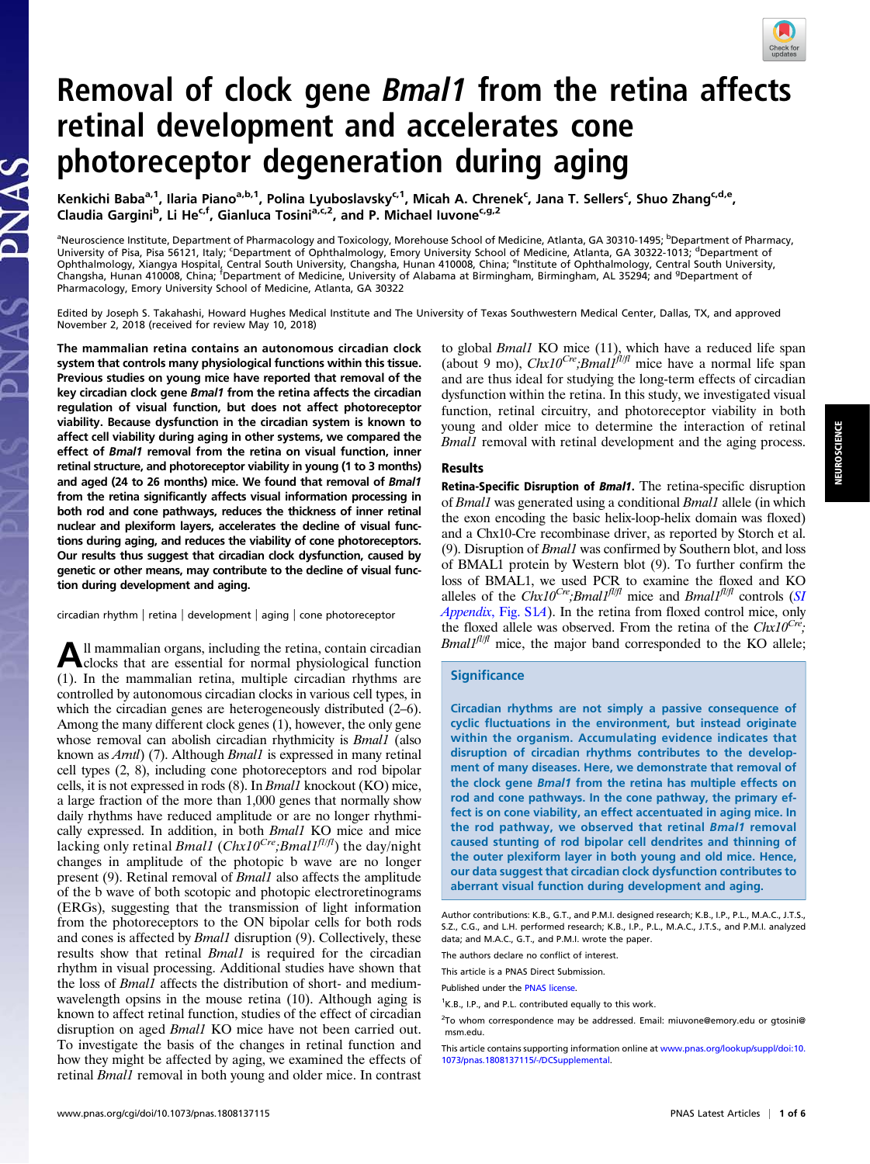

# Removal of clock gene *Bmal1* from the retina affects retinal development and accelerates cone photoreceptor degeneration during aging

Kenkichi Baba<sup>a, 1</sup>, Ilaria Piano<sup>a,b, 1</sup>, Polina Lyuboslavsky<sup>c, 1</sup>, Micah A. Chrenek<sup>c</sup>, Jana T. Sellers<sup>c</sup>, Shuo Zhang<sup>c,d,e</sup>, Claudia Gargini<sup>b</sup>, Li He<sup>c,f</sup>, Gianluca Tosini<sup>a,c,2</sup>, and P. Michael Iuvone<sup>c,g,2</sup>

<sup>a</sup>Neuroscience Institute, Department of Pharmacology and Toxicology, Morehouse School of Medicine, Atlanta, GA 30310-1495; <sup>b</sup>Department of Pharmacy, University of Pisa, Pisa 56121, Italy, ʿDepartment of Ophthalmology, Emory University School of Medicine, Atlanta, GA 30322-1013; <sup>d</sup>Department of<br>Ophthalmology, Xiangya Hospital, Central South University, Changsha, Hunan Changsha, Hunan 410008, China; <sup>f</sup>Department of Medicine, University of Alabama at Birmingham, Birmingham, AL 35294; and <sup>g</sup>Department of Pharmacology, Emory University School of Medicine, Atlanta, GA 30322

Edited by Joseph S. Takahashi, Howard Hughes Medical Institute and The University of Texas Southwestern Medical Center, Dallas, TX, and approved November 2, 2018 (received for review May 10, 2018)

The mammalian retina contains an autonomous circadian clock system that controls many physiological functions within this tissue. Previous studies on young mice have reported that removal of the key circadian clock gene Bmal1 from the retina affects the circadian regulation of visual function, but does not affect photoreceptor viability. Because dysfunction in the circadian system is known to affect cell viability during aging in other systems, we compared the effect of Bmal1 removal from the retina on visual function, inner retinal structure, and photoreceptor viability in young (1 to 3 months) and aged (24 to 26 months) mice. We found that removal of Bmal1 from the retina significantly affects visual information processing in both rod and cone pathways, reduces the thickness of inner retinal nuclear and plexiform layers, accelerates the decline of visual functions during aging, and reduces the viability of cone photoreceptors. Our results thus suggest that circadian clock dysfunction, caused by genetic or other means, may contribute to the decline of visual function during development and aging.

circadian rhythm | retina | development | aging | cone photoreceptor

All mammalian organs, including the retina, contain circadian<br>clocks that are essential for normal physiological function (1). In the mammalian retina, multiple circadian rhythms are controlled by autonomous circadian clocks in various cell types, in which the circadian genes are heterogeneously distributed (2–6). Among the many different clock genes (1), however, the only gene whose removal can abolish circadian rhythmicity is *Bmall* (also known as *Arntl*) (7). Although *Bmal1* is expressed in many retinal cell types (2, 8), including cone photoreceptors and rod bipolar cells, it is not expressed in rods (8). In Bmal1 knockout (KO) mice, a large fraction of the more than 1,000 genes that normally show daily rhythms have reduced amplitude or are no longer rhythmically expressed. In addition, in both Bmal1 KO mice and mice lacking only retinal *Bmal1* (Chx10<sup>Cre</sup>; *Bmal1<sup>fl/fl</sup>*) the day/night changes in amplitude of the photopic b wave are no longer present (9). Retinal removal of  $Bmal<sub>1</sub>$  also affects the amplitude of the b wave of both scotopic and photopic electroretinograms (ERGs), suggesting that the transmission of light information from the photoreceptors to the ON bipolar cells for both rods and cones is affected by Bmal1 disruption (9). Collectively, these results show that retinal *Bmal1* is required for the circadian rhythm in visual processing. Additional studies have shown that the loss of Bmal1 affects the distribution of short- and mediumwavelength opsins in the mouse retina (10). Although aging is known to affect retinal function, studies of the effect of circadian disruption on aged Bmal1 KO mice have not been carried out. To investigate the basis of the changes in retinal function and how they might be affected by aging, we examined the effects of retinal Bmal1 removal in both young and older mice. In contrast

to global Bmal1 KO mice (11), which have a reduced life span (about 9 mo),  $Chx10^{Cre}$ ; Bmal1<sup>fl|fl</sup> mice have a normal life span and are thus ideal for studying the long-term effects of circadian dysfunction within the retina. In this study, we investigated visual function, retinal circuitry, and photoreceptor viability in both young and older mice to determine the interaction of retinal Bmal1 removal with retinal development and the aging process.

#### Results

Retina-Specific Disruption of Bmal1. The retina-specific disruption of Bmal1 was generated using a conditional Bmal1 allele (in which the exon encoding the basic helix-loop-helix domain was floxed) and a Chx10-Cre recombinase driver, as reported by Storch et al. (9). Disruption of Bmal1 was confirmed by Southern blot, and loss of BMAL1 protein by Western blot (9). To further confirm the loss of BMAL1, we used PCR to examine the floxed and KO alleles of the Chx10<sup>Cre</sup>;Bmal1<sup>fl|fl</sup> mice and Bmal1<sup>fl|fl</sup> controls ([SI](http://www.pnas.org/lookup/suppl/doi:10.1073/pnas.1808137115/-/DCSupplemental) Appendix[, Fig. S1](http://www.pnas.org/lookup/suppl/doi:10.1073/pnas.1808137115/-/DCSupplemental)A). In the retina from floxed control mice, only the floxed allele was observed. From the retina of the  $Chx10^{Cre}$ ;  $Bmal<sup>fil/f</sup>$  mice, the major band corresponded to the KO allele;

#### **Significance**

Circadian rhythms are not simply a passive consequence of cyclic fluctuations in the environment, but instead originate within the organism. Accumulating evidence indicates that disruption of circadian rhythms contributes to the development of many diseases. Here, we demonstrate that removal of the clock gene Bmal1 from the retina has multiple effects on rod and cone pathways. In the cone pathway, the primary effect is on cone viability, an effect accentuated in aging mice. In the rod pathway, we observed that retinal Bmal1 removal caused stunting of rod bipolar cell dendrites and thinning of the outer plexiform layer in both young and old mice. Hence, our data suggest that circadian clock dysfunction contributes to aberrant visual function during development and aging.

The authors declare no conflict of interest.

This article is a PNAS Direct Submission.

Author contributions: K.B., G.T., and P.M.I. designed research; K.B., I.P., P.L., M.A.C., J.T.S., S.Z., C.G., and L.H. performed research; K.B., I.P., P.L., M.A.C., J.T.S., and P.M.I. analyzed data; and M.A.C., G.T., and P.M.I. wrote the paper.

Published under the [PNAS license.](http://www.pnas.org/site/aboutpnas/licenses.xhtml)

<sup>&</sup>lt;sup>1</sup>K.B., I.P., and P.L. contributed equally to this work.

<sup>&</sup>lt;sup>2</sup>To whom correspondence may be addressed. Email: [miuvone@emory.edu](mailto:miuvone@emory.edu) or [gtosini@](mailto:gtosini@msm.edu) [msm.edu](mailto:gtosini@msm.edu).

This article contains supporting information online at [www.pnas.org/lookup/suppl/doi:10.](http://www.pnas.org/lookup/suppl/doi:10.1073/pnas.1808137115/-/DCSupplemental) [1073/pnas.1808137115/-/DCSupplemental](http://www.pnas.org/lookup/suppl/doi:10.1073/pnas.1808137115/-/DCSupplemental).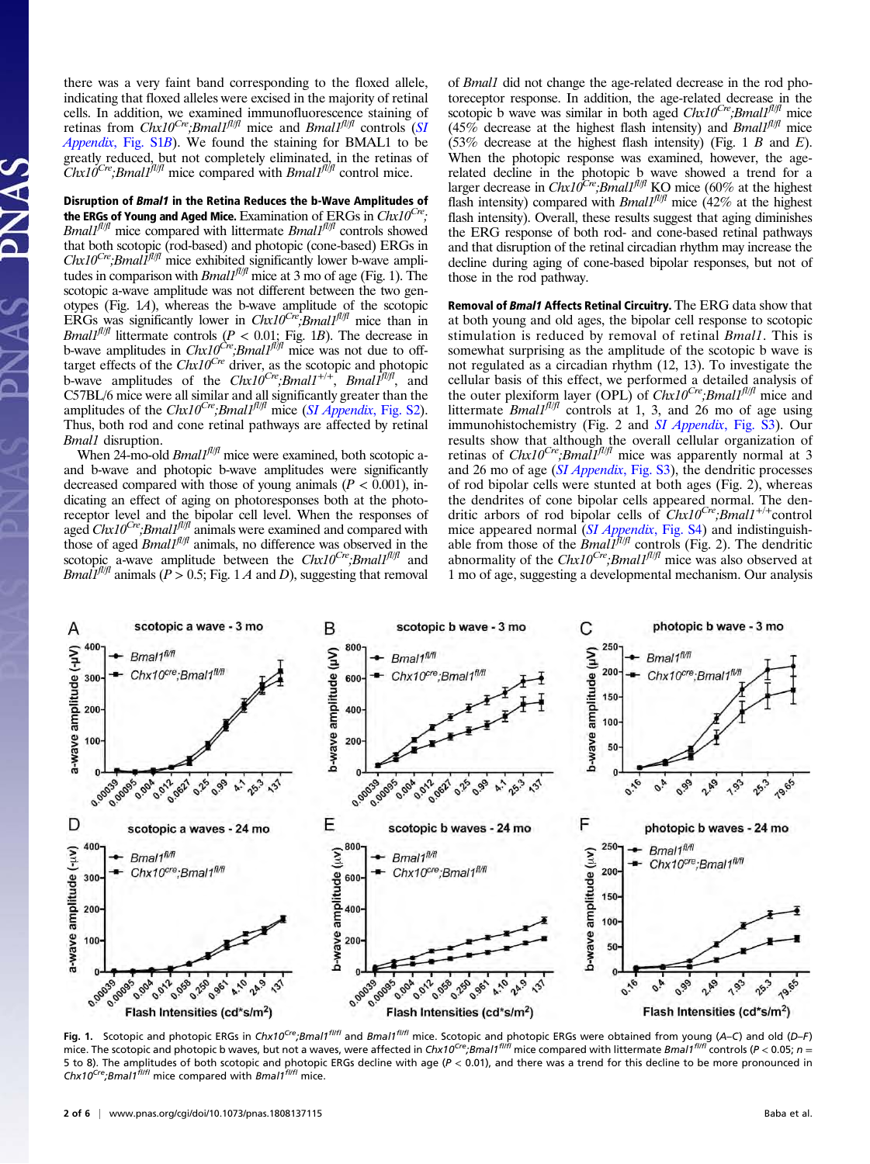there was a very faint band corresponding to the floxed allele, indicating that floxed alleles were excised in the majority of retinal cells. In addition, we examined immunofluorescence staining of retinas from  $Chx10^{Cre}$ ; Bmall<sup>fl|fl</sup> mice and Bmall<sup>fl|fl</sup> controls ([SI](http://www.pnas.org/lookup/suppl/doi:10.1073/pnas.1808137115/-/DCSupplemental) Appendix, Fig.  $S1B$ ). We found the staining for BMAL1 to be greatly reduced, but not completely eliminated, in the retinas of  $Chx10^{Cre}$ ;Bmal1<sup>fl|fl</sup> mice compared with Bmal1<sup>fl|fl</sup> control mice.

Disruption of Bmal1 in the Retina Reduces the b-Wave Amplitudes of the ERGs of Young and Aged Mice. Examination of ERGs in  $Chx10^{Cre}$ ;  $Bmal1<sup>fil/fl</sup>$  mice compared with littermate  $Bmal1<sup>fil/fl</sup>$  controls showed that both scotopic (rod-based) and photopic (cone-based) ERGs in  $Chx10^{Cre}$ ; Bmal $1<sup>f1/f1</sup>$  mice exhibited significantly lower b-wave amplitudes in comparison with *Bmal1<sup>fl/fl</sup>* mice at 3 mo of age (Fig. 1). The scotopic a-wave amplitude was not different between the two genotypes (Fig. 1A), whereas the b-wave amplitude of the scotopic ERGs was significantly lower in  $Chx10^{Cre}$ ; Bmal1<sup>fl|fl</sup> mice than in Bmall<sup>fl/fl</sup> littermate controls ( $P < 0.01$ ; Fig. 1B). The decrease in b-wave amplitudes in  $Chx10^{Cre}$ ; Bmall<sup>fliff</sup> mice was not due to offtarget effects of the  $Chx10^{Cre}$  driver, as the scotopic and photopic b-wave amplitudes of the  $Chx10^{Cre}$ ; Bmal1<sup>+/+</sup>, Bmal1<sup>fl/fl</sup>, and C57BL/6 mice were all similar and all significantly greater than the amplitudes of the *Chx10<sup>Cre</sup>;Bmal1<sup>fl/fl</sup>* mice (*[SI Appendix](http://www.pnas.org/lookup/suppl/doi:10.1073/pnas.1808137115/-/DCSupplemental)*, Fig. S2). Thus, both rod and cone retinal pathways are affected by retinal Bmal1 disruption.

When 24-mo-old  $Bmal<sup>f||f||f|</sup>$  mice were examined, both scotopic aand b-wave and photopic b-wave amplitudes were significantly decreased compared with those of young animals ( $P < 0.001$ ), indicating an effect of aging on photoresponses both at the photoreceptor level and the bipolar cell level. When the responses of aged  $Chx10^{Cre}$ ; Bmall<sup>fl/fl</sup> animals were examined and compared with those of aged  $Bmal1<sup>f||f||f|</sup>$ </sup> animals, no difference was observed in the scotopic a-wave amplitude between the  $Chx10^{Cre}$ ; Bmal1 $f^{fl/f}$  and *Bmal1<sup>fl/fl</sup>* animals ( $P > 0.5$ ; Fig. 1 A and D), suggesting that removal of Bmal1 did not change the age-related decrease in the rod photoreceptor response. In addition, the age-related decrease in the scotopic b wave was similar in both aged  $Chx10^{Cre}$ ; Bmal1<sup>fl/fl</sup> mice  $(45\%$  decrease at the highest flash intensity) and *Bmall*<sup>fl/fl</sup> mice  $(53\%$  decrease at the highest flash intensity) (Fig. 1 B and E). When the photopic response was examined, however, the agerelated decline in the photopic b wave showed a trend for a larger decrease in  $Chx10^{Cre}$ ;*Bmal1<sup>fl/fl</sup>* KO mice (60% at the highest flash intensity) compared with *Bmall*<sup> $fl/fl$ </sup> mice (42% at the highest flash intensity). Overall, these results suggest that aging diminishes the ERG response of both rod- and cone-based retinal pathways and that disruption of the retinal circadian rhythm may increase the decline during aging of cone-based bipolar responses, but not of those in the rod pathway.

Removal of Bmal1 Affects Retinal Circuitry. The ERG data show that at both young and old ages, the bipolar cell response to scotopic stimulation is reduced by removal of retinal Bmal1. This is somewhat surprising as the amplitude of the scotopic b wave is not regulated as a circadian rhythm (12, 13). To investigate the cellular basis of this effect, we performed a detailed analysis of the outer plexiform layer (OPL) of  $Chx10^{Cre}$ ; Bmal1<sup>fl/fl</sup> mice and littermate *Bmall<sup>fl/fl</sup>* controls at 1, 3, and 26 mo of age using immunohistochemistry (Fig. 2 and [SI Appendix](http://www.pnas.org/lookup/suppl/doi:10.1073/pnas.1808137115/-/DCSupplemental), Fig. S3). Our results show that although the overall cellular organization of retinas of  $Chx10^{Cre}$ ; *Bmall<sup>n/fl</sup>* mice was apparently normal at 3 and 26 mo of age ([SI Appendix](http://www.pnas.org/lookup/suppl/doi:10.1073/pnas.1808137115/-/DCSupplemental), Fig. S3), the dendritic processes of rod bipolar cells were stunted at both ages (Fig. 2), whereas the dendrites of cone bipolar cells appeared normal. The dendritic arbors of rod bipolar cells of  $Chx10^{Cre}$ ; Bmal1<sup>+/+</sup>control mice appeared normal ([SI Appendix](http://www.pnas.org/lookup/suppl/doi:10.1073/pnas.1808137115/-/DCSupplemental), Fig. S4) and indistinguishable from those of the *Bmall<sup>fl/fl</sup>* controls (Fig. 2). The dendritic abnormality of the Chx10<sup>Cre</sup>;Bmal1<sup>fl/fl</sup> mice was also observed at 1 mo of age, suggesting a developmental mechanism. Our analysis



Fig. 1. Scotopic and photopic ERGs in Chx10<sup>Cre</sup>;Bmal1<sup>fl/fl</sup> and Bmal1<sup>fl/fl</sup> mice. Scotopic and photopic ERGs were obtained from young (A–C) and old (D–F) mice. The scotopic and photopic b waves, but not a waves, were affected in Chx10<sup>Cre</sup>;Bmal1<sup>fl/fl</sup> mice compared with littermate Bmal1<sup>fl/fl</sup> controls (P < 0.05; n = 5 to 8). The amplitudes of both scotopic and photopic ERGs decline with age (P < 0.01), and there was a trend for this decline to be more pronounced in  $Chx10<sup>Cre</sup>; Bmal1<sup>fIII</sup>$  mice compared with Bmal1<sup>fIIfI</sup> mice.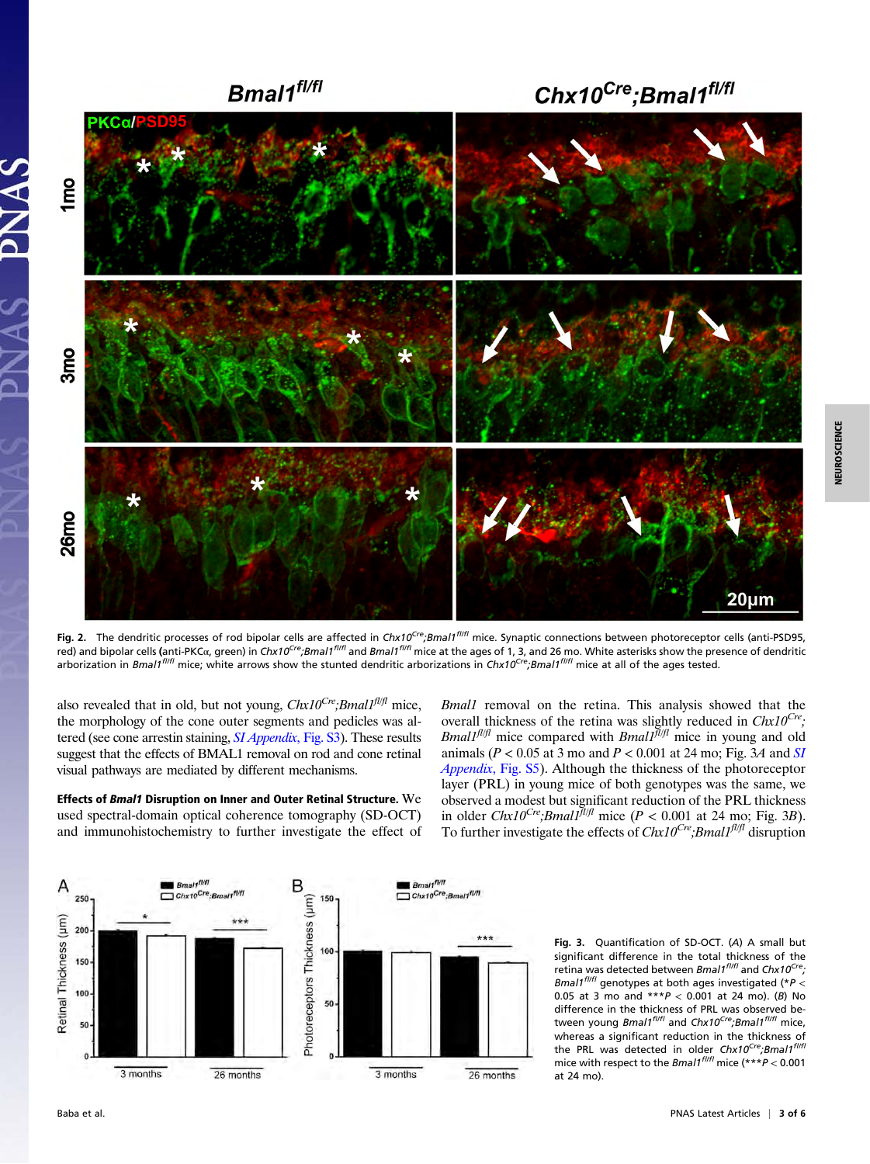

Fig. 2. The dendritic processes of rod bipolar cells are affected in Chx10<sup>Cre</sup>;Bmal1<sup>fl/fl</sup> mice. Synaptic connections between photoreceptor cells (anti-PSD95, red) and bipolar cells (anti-PKCα, green) in Chx10<sup>Cre</sup>;Bmal1<sup>fl/fl</sup> and Bmal1<sup>fl/fl</sup> mice at the ages of 1, 3, and 26 mo. White asterisks show the presence of dendritic arborization in Bmal1<sup>flifl</sup> mice; white arrows show the stunted dendritic arborizations in Chx10<sup>Cre</sup>;Bmal1<sup>flifl</sup> mice at all of the ages tested.

also revealed that in old, but not young,  $Chx10^{Cre}$ ; Bmall<sup>fl/fl</sup> mice, the morphology of the cone outer segments and pedicles was al-tered (see cone arrestin staining, [SI Appendix](http://www.pnas.org/lookup/suppl/doi:10.1073/pnas.1808137115/-/DCSupplemental), Fig. S3). These results suggest that the effects of BMAL1 removal on rod and cone retinal visual pathways are mediated by different mechanisms.

Effects of Bmal1 Disruption on Inner and Outer Retinal Structure. We used spectral-domain optical coherence tomography (SD-OCT) and immunohistochemistry to further investigate the effect of Bmal1 removal on the retina. This analysis showed that the overall thickness of the retina was slightly reduced in  $Chx10^{Cre}$ ; *Bmall<sup>fl/fl</sup>* mice compared with *Bmall*<sup> $\bar{f}^{I/fI}$ </sup> mice in young and old animals ( $P < 0.05$  at 3 mo and  $P < 0.001$  at 24 mo; Fig. 3A and [SI](http://www.pnas.org/lookup/suppl/doi:10.1073/pnas.1808137115/-/DCSupplemental) Appendix[, Fig. S5\)](http://www.pnas.org/lookup/suppl/doi:10.1073/pnas.1808137115/-/DCSupplemental). Although the thickness of the photoreceptor layer (PRL) in young mice of both genotypes was the same, we observed a modest but significant reduction of the PRL thickness<br>in older  $Chx10^{Cre}$ ;*Bmal1<sup>fl/fl</sup>* mice ( $P < 0.001$  at 24 mo; Fig. 3*B*). To further investigate the effects of  $Chx10^{Cre}$ ; Bmall<sup>fl/fl</sup> disruption



Fig. 3. Quantification of SD-OCT. (A) A small but significant difference in the total thickness of the retina was detected between Bmal1<sup>fl/fl</sup> and Chx10<sup>Cre</sup>; Bmal1<sup>fl/fl</sup> genotypes at both ages investigated (\*P < 0.05 at 3 mo and  $***P < 0.001$  at 24 mo). (B) No difference in the thickness of PRL was observed between young Bmal1<sup>fl/fl</sup> and Chx10<sup>Cre</sup>;Bmal1<sup>fl/fl</sup> mice, whereas a significant reduction in the thickness of the PRL was detected in older Chx10<sup>Cre</sup>;Bmal1<sup>fl/fl</sup> mice with respect to the *Bmal1<sup>fl/fl</sup>* mice (\*\*\* $P < 0.001$ at 24 mo).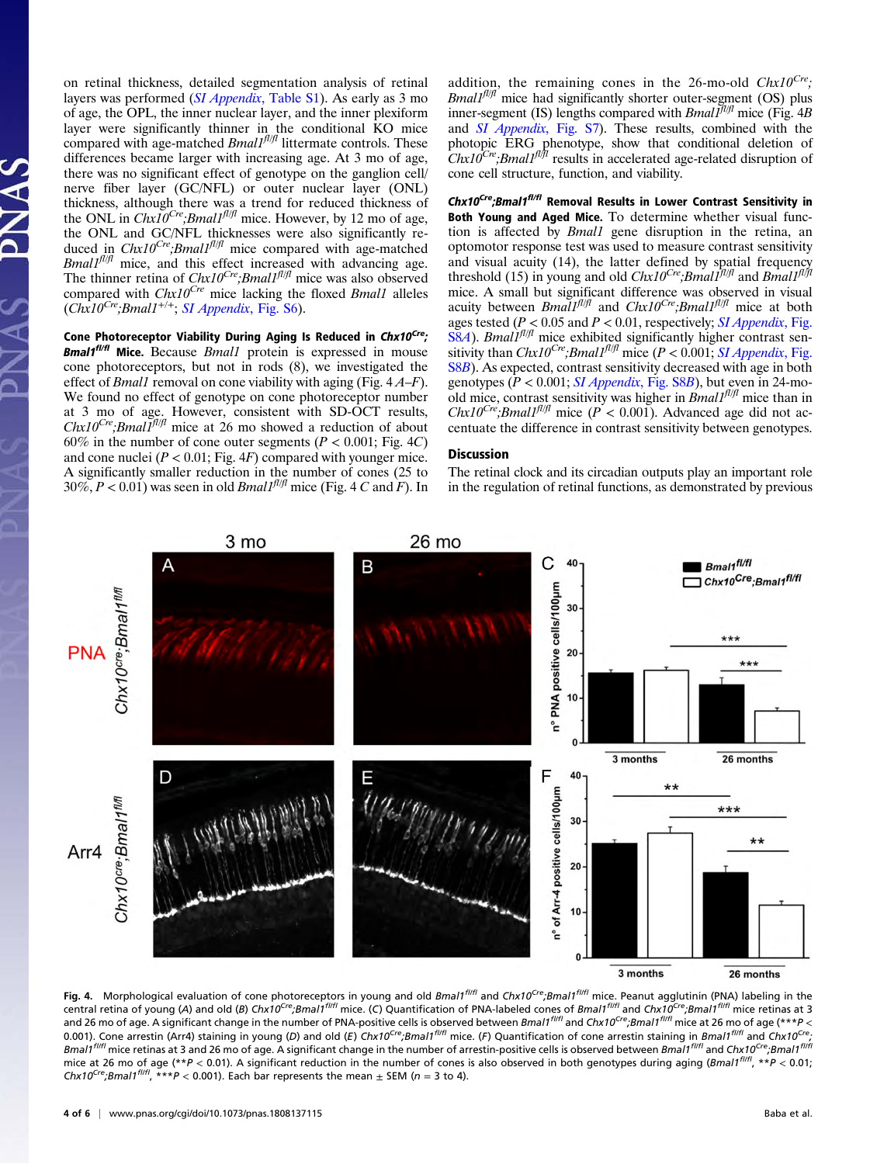on retinal thickness, detailed segmentation analysis of retinal layers was performed (SI Appendix[, Table S1](http://www.pnas.org/lookup/suppl/doi:10.1073/pnas.1808137115/-/DCSupplemental)). As early as 3 mo of age, the OPL, the inner nuclear layer, and the inner plexiform layer were significantly thinner in the conditional KO mice compared with age-matched  $Bmal<sup>fI/fI</sup>$  littermate controls. These differences became larger with increasing age. At 3 mo of age, there was no significant effect of genotype on the ganglion cell/ nerve fiber layer (GC/NFL) or outer nuclear layer (ONL) thickness, although there was a trend for reduced thickness of the ONL in  $ChxI0^{Cre}$ ; Bmall<sup>fl|fl</sup> mice. However, by 12 mo of age, the ONL and GC/NFL thicknesses were also significantly reduced in  $Chx10^{Cre}$ ; Bmall<sup>fl/fl</sup> mice compared with age-matched  $Bmal1<sup>f1/f1</sup>$  mice, and this effect increased with advancing age. The thinner retina of  $Chx10^{Cre}$ ; Bmal1<sup>fl/fl</sup> mice was also observed compared with  $Chx10^{Cre}$  mice lacking the floxed *Bmal1* alleles  $(Chx10<sup>Cre</sup>; Bmal1<sup>+/+</sup>; SI Appendix, Fig. S6).$  $(Chx10<sup>Cre</sup>; Bmal1<sup>+/+</sup>; SI Appendix, Fig. S6).$  $(Chx10<sup>Cre</sup>; Bmal1<sup>+/+</sup>; SI Appendix, Fig. S6).$ 

Cone Photoreceptor Viability During Aging Is Reduced in Chx10<sup>Cre</sup>; **Bmal1<sup>fl/fl</sup>** Mice. Because *Bmal1* protein is expressed in mouse cone photoreceptors, but not in rods (8), we investigated the effect of *Bmall* removal on cone viability with aging (Fig.  $4A-F$ ). We found no effect of genotype on cone photoreceptor number at 3 mo of age. However, consistent with SD-OCT results,  $Chx10^{Cre}$ ; *Bmal1<sup>fl/fl</sup>* mice at 26 mo showed a reduction of about 60% in the number of cone outer segments ( $P < 0.001$ ; Fig. 4C) and cone nuclei  $(P < 0.01$ ; Fig. 4F) compared with younger mice. A significantly smaller reduction in the number of cones (25 to  $30\%, P < 0.01$ ) was seen in old *Bmall<sup>fl|fl</sup>* mice (Fig. 4 C and F). In addition, the remaining cones in the 26-mo-old  $Chx10^{Cre}$ ; *Bmal1<sup>fl/fl</sup>* mice had significantly shorter outer-segment (OS) plus inner-segment (IS) lengths compared with  $Bmal\tilde{I}^{[1|j]}$  mice (Fig. 4B and SI Appendix[, Fig. S7\)](http://www.pnas.org/lookup/suppl/doi:10.1073/pnas.1808137115/-/DCSupplemental). These results, combined with the photopic ERG phenotype, show that conditional deletion of  $Chx10<sup>Cre</sup>; Bmal1<sup>f1/f1</sup>$  results in accelerated age-related disruption of cone cell structure, function, and viability.

Chx10<sup>Cre</sup>;Bmal1<sup>f//fl</sup> Removal Results in Lower Contrast Sensitivity in Both Young and Aged Mice. To determine whether visual function is affected by Bmal1 gene disruption in the retina, an optomotor response test was used to measure contrast sensitivity and visual acuity (14), the latter defined by spatial frequency threshold (15) in young and old  $Chx10^{Cre}$ ; Bmall<sup>fl/fl</sup> and Bmall<sup>fl/fl</sup> mice. A small but significant difference was observed in visual acuity between  $Bmal1^{fl/f}$  and  $Chx10^{Cre}; Bmal1^{fl/f}$  mice at both ages tested ( $P < 0.05$  and  $P < 0.01$ , respectively; *[SI Appendix](http://www.pnas.org/lookup/suppl/doi:10.1073/pnas.1808137115/-/DCSupplemental)*, Fig.  $S8A$  $S8A$ ). *Bmall<sup>fl/fl</sup>* mice exhibited significantly higher contrast sensitivity than  $Chx10^{Cre}$ ; Bmall<sup>fl/fl</sup> mice ( $P < 0.001$ ; [SI Appendix](http://www.pnas.org/lookup/suppl/doi:10.1073/pnas.1808137115/-/DCSupplemental), Fig. [S8](http://www.pnas.org/lookup/suppl/doi:10.1073/pnas.1808137115/-/DCSupplemental)B). As expected, contrast sensitivity decreased with age in both genotypes ( $P < 0.001$ ; *[SI Appendix](http://www.pnas.org/lookup/suppl/doi:10.1073/pnas.1808137115/-/DCSupplemental)*, Fig. S8B), but even in 24-moold mice, contrast sensitivity was higher in  $\text{Bmall}^{fl/fl}$  mice than in  $Chx10^{Cre}$ ; Bmal1<sup>fl/fl</sup> mice ( $P < 0.001$ ). Advanced age did not accentuate the difference in contrast sensitivity between genotypes.

### **Discussion**

The retinal clock and its circadian outputs play an important role in the regulation of retinal functions, as demonstrated by previous



Fig. 4. Morphological evaluation of cone photoreceptors in young and old Bmal1<sup>fl/fl</sup> and Chx10<sup>Cre</sup>;Bmal1<sup>fl/fl</sup> mice. Peanut agglutinin (PNA) labeling in the central retina of young (A) and old (B) Chx10<sup>Cre</sup>;Bmal1<sup>fl/fl</sup> mice. (C) Quantification of PNA-labeled cones of Bmal1<sup>fl/fl</sup> and Chx10<sup>Cre</sup>;Bmal1<sup>fl/fl</sup> mice retinas at 3 and 26 mo of age. A significant change in the number of PNA-positive cells is observed between Bmal1<sup>fl/fl</sup> and Chx10<sup>Cre</sup>;Bmal1<sup>fl/fl</sup> mice at 26 mo of age (\*\*\*P < 0.001). Cone arrestin (Arr4) staining in young (D) and old (E) Chx10<sup>Cre</sup>;Bmal1<sup>fl/fl</sup> mice. (F) Quantification of cone arrestin staining in Bmal1<sup>fl/fl</sup> and Chx10<sup>Cre</sup>; Bmal1<sup>flifl</sup> mice retinas at 3 and 26 mo of age. A significant change in the number of arrestin-positive cells is observed between Bmal1<sup>flifl</sup> and Chx10<sup>Cre</sup>;Bmal1<sup>flifl</sup> mice at 26 mo of age (\*\*P < 0.01). A significant reduction in the number of cones is also observed in both genotypes during aging (Bmal1<sup>flifl</sup>, \*\*P < 0.01; Chx10<sup>Cre</sup>;Bmal1<sup>fl/fl</sup>, \*\*\*P < 0.001). Each bar represents the mean  $\pm$  SEM (n = 3 to 4).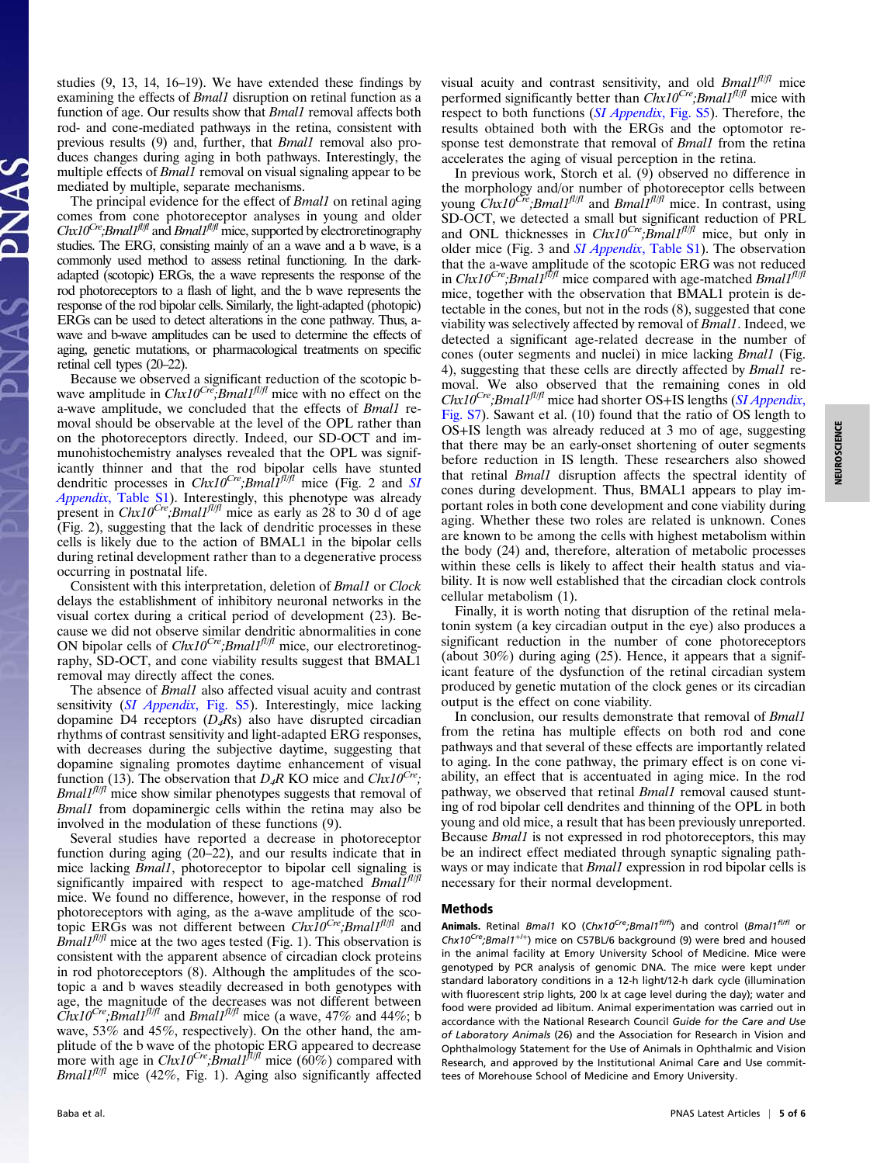NEUROSCIENCE NEUROSCIENCE

studies (9, 13, 14, 16–19). We have extended these findings by examining the effects of Bmal1 disruption on retinal function as a function of age. Our results show that *Bmal1* removal affects both rod- and cone-mediated pathways in the retina, consistent with previous results (9) and, further, that Bmal1 removal also produces changes during aging in both pathways. Interestingly, the multiple effects of *Bmall* removal on visual signaling appear to be mediated by multiple, separate mechanisms.

The principal evidence for the effect of *Bmall* on retinal aging comes from cone photoreceptor analyses in young and older  $Chx10^{Cre}$ ; Bmal1<sup>fl|fl</sup> and Bmal1<sup>fl|fl</sup> mice, supported by electroretinography studies. The ERG, consisting mainly of an a wave and a b wave, is a commonly used method to assess retinal functioning. In the darkadapted (scotopic) ERGs, the a wave represents the response of the rod photoreceptors to a flash of light, and the b wave represents the response of the rod bipolar cells. Similarly, the light-adapted (photopic) ERGs can be used to detect alterations in the cone pathway. Thus, awave and b-wave amplitudes can be used to determine the effects of aging, genetic mutations, or pharmacological treatments on specific retinal cell types (20–22).

Because we observed a significant reduction of the scotopic bwave amplitude in  $Chx10<sup>Cre</sup>$ ; Bmall<sup>fl|fl</sup> mice with no effect on the a-wave amplitude, we concluded that the effects of Bmal1 removal should be observable at the level of the OPL rather than on the photoreceptors directly. Indeed, our SD-OCT and immunohistochemistry analyses revealed that the OPL was significantly thinner and that the rod bipolar cells have stunted dendritic processes in  $Chx10^{Cre}$ ; Bmal $1f^{fl/fl}$  mice (Fig. 2 and [SI](http://www.pnas.org/lookup/suppl/doi:10.1073/pnas.1808137115/-/DCSupplemental) Appendix[, Table S1\)](http://www.pnas.org/lookup/suppl/doi:10.1073/pnas.1808137115/-/DCSupplemental). Interestingly, this phenotype was already present in  $Chx10^{Cre}$ ; Bmal1<sup>fl/fl</sup> mice as early as 28 to 30 d of age (Fig. 2), suggesting that the lack of dendritic processes in these cells is likely due to the action of BMAL1 in the bipolar cells during retinal development rather than to a degenerative process occurring in postnatal life.

Consistent with this interpretation, deletion of Bmal1 or Clock delays the establishment of inhibitory neuronal networks in the visual cortex during a critical period of development (23). Because we did not observe similar dendritic abnormalities in cone ON bipolar cells of  $Chx10^{Cre}$ ; Bmal1<sup>fl/fl</sup> mice, our electroretinography, SD-OCT, and cone viability results suggest that BMAL1 removal may directly affect the cones.

The absence of *Bmal1* also affected visual acuity and contrast sensitivity (*SI Appendix*[, Fig. S5\)](http://www.pnas.org/lookup/suppl/doi:10.1073/pnas.1808137115/-/DCSupplemental). Interestingly, mice lacking dopamine D4 receptors  $(D_4Rs)$  also have disrupted circadian rhythms of contrast sensitivity and light-adapted ERG responses, with decreases during the subjective daytime, suggesting that dopamine signaling promotes daytime enhancement of visual function (13). The observation that  $D_4R$  KO mice and  $Chx10^{Cre}$ ;  $Bmal1<sup>f1/f1</sup>$  mice show similar phenotypes suggests that removal of Bmal1 from dopaminergic cells within the retina may also be involved in the modulation of these functions (9).

Several studies have reported a decrease in photoreceptor function during aging (20–22), and our results indicate that in mice lacking *Bmal1*, photoreceptor to bipolar cell signaling is significantly impaired with respect to age-matched  $BmalI<sup>f1/f1</sup>$ mice. We found no difference, however, in the response of rod photoreceptors with aging, as the a-wave amplitude of the scotopic ERGs was not different between  $Chx10^{Cre}$ ; Bmal1<sup>fl/fl</sup> and *Bmall*<sup> $f l / f l$ </sup> mice at the two ages tested (Fig. 1). This observation is consistent with the apparent absence of circadian clock proteins in rod photoreceptors (8). Although the amplitudes of the scotopic a and b waves steadily decreased in both genotypes with age, the magnitude of the decreases was not different between  $Chx10^{Cre}$ ; Bmall<sup>fl/fl</sup> and Bmall<sup>fl/fl</sup> mice (a wave, 47% and 44%; b wave, 53% and 45%, respectively). On the other hand, the amplitude of the b wave of the photopic ERG appeared to decrease more with age in  $Chx10^{Cre}$ ; Bmall<sup> $\bar{\beta}$ l/fl mice (60%) compared with</sup>  $Bmal1<sup>f1/f1</sup>$  mice (42%, Fig. 1). Aging also significantly affected visual acuity and contrast sensitivity, and old  $Bmal<sup>fI/fI</sup>$  mice performed significantly better than  $Chx10^{Cre}$ ; Bmal1<sup>fl/fl</sup> mice with respect to both functions ([SI Appendix](http://www.pnas.org/lookup/suppl/doi:10.1073/pnas.1808137115/-/DCSupplemental), Fig. S5). Therefore, the results obtained both with the ERGs and the optomotor response test demonstrate that removal of *Bmall* from the retina accelerates the aging of visual perception in the retina.

In previous work, Storch et al. (9) observed no difference in the morphology and/or number of photoreceptor cells between young  $\dot{C}hx10^{\dot{C}r\dot{e}}$ ; Bmal1<sup>fl|fl</sup> and Bmal1<sup>fl|fl</sup> mice. In contrast, using SD-OCT, we detected a small but significant reduction of PRL and ONL thicknesses in  $Chx10^{Cre}$ ; *Bmall<sup>fl/fl</sup>* mice, but only in older mice (Fig. 3 and SI Appendix[, Table S1](http://www.pnas.org/lookup/suppl/doi:10.1073/pnas.1808137115/-/DCSupplemental)). The observation that the a-wave amplitude of the scotopic ERG was not reduced in Chx10<sup>Cre</sup>;Bmal1<sup>flf</sup> mice compared with age-matched Bmal1<sup>fl</sup>/fl mice, together with the observation that BMAL1 protein is detectable in the cones, but not in the rods (8), suggested that cone viability was selectively affected by removal of Bmal1. Indeed, we detected a significant age-related decrease in the number of cones (outer segments and nuclei) in mice lacking Bmal1 (Fig. 4), suggesting that these cells are directly affected by Bmall removal. We also observed that the remaining cones in old  $Chx10^{Cre}$ ; Bmal1<sup>fl/fl</sup> mice had shorter OS+IS lengths ([SI Appendix](http://www.pnas.org/lookup/suppl/doi:10.1073/pnas.1808137115/-/DCSupplemental), [Fig. S7\)](http://www.pnas.org/lookup/suppl/doi:10.1073/pnas.1808137115/-/DCSupplemental). Sawant et al. (10) found that the ratio of OS length to OS+IS length was already reduced at 3 mo of age, suggesting that there may be an early-onset shortening of outer segments before reduction in IS length. These researchers also showed that retinal Bmal1 disruption affects the spectral identity of cones during development. Thus, BMAL1 appears to play important roles in both cone development and cone viability during aging. Whether these two roles are related is unknown. Cones are known to be among the cells with highest metabolism within the body (24) and, therefore, alteration of metabolic processes within these cells is likely to affect their health status and viability. It is now well established that the circadian clock controls cellular metabolism (1).

Finally, it is worth noting that disruption of the retinal melatonin system (a key circadian output in the eye) also produces a significant reduction in the number of cone photoreceptors (about 30%) during aging (25). Hence, it appears that a significant feature of the dysfunction of the retinal circadian system produced by genetic mutation of the clock genes or its circadian output is the effect on cone viability.

In conclusion, our results demonstrate that removal of Bmal1 from the retina has multiple effects on both rod and cone pathways and that several of these effects are importantly related to aging. In the cone pathway, the primary effect is on cone viability, an effect that is accentuated in aging mice. In the rod pathway, we observed that retinal *Bmal1* removal caused stunting of rod bipolar cell dendrites and thinning of the OPL in both young and old mice, a result that has been previously unreported. Because Bmal1 is not expressed in rod photoreceptors, this may be an indirect effect mediated through synaptic signaling pathways or may indicate that *Bmall* expression in rod bipolar cells is necessary for their normal development.

## Methods

Animals. Retinal Bmal1 KO (Chx10<sup>Cre</sup>;Bmal1<sup>fl/fl</sup>) and control (Bmal1<sup>fl/fl</sup> or  $Chx10<sup>Cre</sup>; Bmal1<sup>+/+</sup>$  mice on C57BL/6 background (9) were bred and housed in the animal facility at Emory University School of Medicine. Mice were genotyped by PCR analysis of genomic DNA. The mice were kept under standard laboratory conditions in a 12-h light/12-h dark cycle (illumination with fluorescent strip lights, 200 lx at cage level during the day); water and food were provided ad libitum. Animal experimentation was carried out in accordance with the National Research Council Guide for the Care and Use of Laboratory Animals (26) and the Association for Research in Vision and Ophthalmology Statement for the Use of Animals in Ophthalmic and Vision Research, and approved by the Institutional Animal Care and Use committees of Morehouse School of Medicine and Emory University.